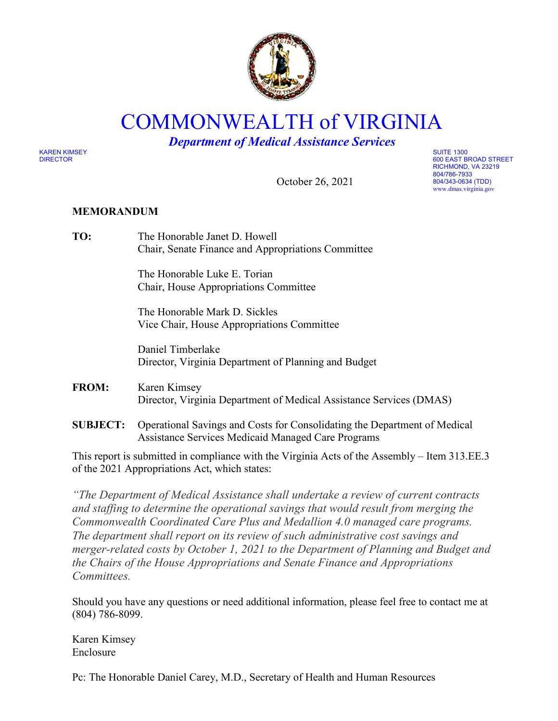

COMMONWEALTH of VIRGINIA

*Department of Medical Assistance Services*

KAREN KIMSEY SUITE 1300 DIRECTOR 600 EAST BROAD STREET

October 26, 2021

RICHMOND, VA 23219 804/786-7933 804/343-0634 (TDD) www.dmas.virginia.gov

#### **MEMORANDUM**

**TO:** The Honorable Janet D. Howell Chair, Senate Finance and Appropriations Committee

> The Honorable Luke E. Torian Chair, House Appropriations Committee

The Honorable Mark D. Sickles Vice Chair, House Appropriations Committee

Daniel Timberlake Director, Virginia Department of Planning and Budget

- **FROM:** Karen Kimsey Director, Virginia Department of Medical Assistance Services (DMAS)
- **SUBJECT:** Operational Savings and Costs for Consolidating the Department of Medical Assistance Services Medicaid Managed Care Programs

This report is submitted in compliance with the Virginia Acts of the Assembly – Item 313.EE.3 of the 2021 Appropriations Act, which states:

*"The Department of Medical Assistance shall undertake a review of current contracts and staffing to determine the operational savings that would result from merging the Commonwealth Coordinated Care Plus and Medallion 4.0 managed care programs. The department shall report on its review of such administrative cost savings and merger-related costs by October 1, 2021 to the Department of Planning and Budget and the Chairs of the House Appropriations and Senate Finance and Appropriations Committees.*

Should you have any questions or need additional information, please feel free to contact me at (804) 786-8099.

Karen Kimsey Enclosure

Pc: The Honorable Daniel Carey, M.D., Secretary of Health and Human Resources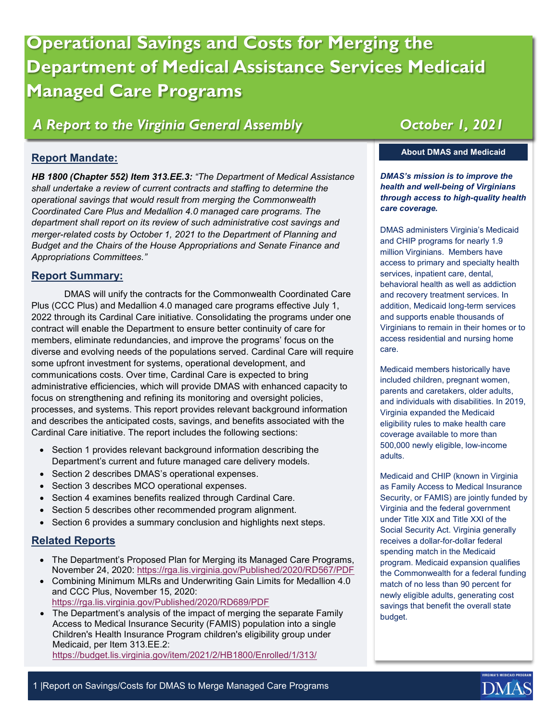# **Operational Savings and Costs for Merging the Department of Medical Assistance Services Medicaid Managed Care Programs**

## *A Report to the Virginia General Assembly*

## **Report Mandate:**

*HB 1800 (Chapter 552) Item 313.EE.3: "The Department of Medical Assistance shall undertake a review of current contracts and staffing to determine the operational savings that would result from merging the Commonwealth Coordinated Care Plus and Medallion 4.0 managed care programs. The department shall report on its review of such administrative cost savings and merger-related costs by October 1, 2021 to the Department of Planning and Budget and the Chairs of the House Appropriations and Senate Finance and Appropriations Committees."*

## **Report Summary:**

DMAS will unify the contracts for the Commonwealth Coordinated Care Plus (CCC Plus) and Medallion 4.0 managed care programs effective July 1, 2022 through its Cardinal Care initiative. Consolidating the programs under one contract will enable the Department to ensure better continuity of care for members, eliminate redundancies, and improve the programs' focus on the diverse and evolving needs of the populations served. Cardinal Care will require some upfront investment for systems, operational development, and communications costs. Over time, Cardinal Care is expected to bring administrative efficiencies, which will provide DMAS with enhanced capacity to focus on strengthening and refining its monitoring and oversight policies, processes, and systems. This report provides relevant background information and describes the anticipated costs, savings, and benefits associated with the Cardinal Care initiative. The report includes the following sections:

- Section 1 provides relevant background information describing the Department's current and future managed care delivery models.
- Section 2 describes DMAS's operational expenses.
- Section 3 describes MCO operational expenses.
- Section 4 examines benefits realized through Cardinal Care.
- Section 5 describes other recommended program alignment.
- Section 6 provides a summary conclusion and highlights next steps.

## **Related Reports**

- The Department's Proposed Plan for Merging its Managed Care Programs, November 24, 2020:<https://rga.lis.virginia.gov/Published/2020/RD567/PDF>
- Combining Minimum MLRs and Underwriting Gain Limits for Medallion 4.0 and CCC Plus, November 15, 2020: <https://rga.lis.virginia.gov/Published/2020/RD689/PDF>
- The Department's analysis of the impact of merging the separate Family Access to Medical Insurance Security (FAMIS) population into a single Children's Health Insurance Program children's eligibility group under Medicaid, per Item 313.EE.2:

<https://budget.lis.virginia.gov/item/2021/2/HB1800/Enrolled/1/313/>

## *October 1, 2021*

#### **About DMAS and Medicaid**

*DMAS's mission is to improve the health and well-being of Virginians through access to high-quality health care coverage.*

DMAS administers Virginia's Medicaid and CHIP programs for nearly 1.9 million Virginians. Members have access to primary and specialty health services, inpatient care, dental, behavioral health as well as addiction and recovery treatment services. In addition, Medicaid long-term services and supports enable thousands of Virginians to remain in their homes or to access residential and nursing home care.

Medicaid members historically have included children, pregnant women, parents and caretakers, older adults, and individuals with disabilities. In 2019, Virginia expanded the Medicaid eligibility rules to make health care coverage available to more than 500,000 newly eligible, low-income adults.

Medicaid and CHIP (known in Virginia as Family Access to Medical Insurance Security, or FAMIS) are jointly funded by Virginia and the federal government under Title XIX and Title XXI of the Social Security Act. Virginia generally receives a dollar-for-dollar federal spending match in the Medicaid program. Medicaid expansion qualifies the Commonwealth for a federal funding match of no less than 90 percent for newly eligible adults, generating cost savings that benefit the overall state budget.



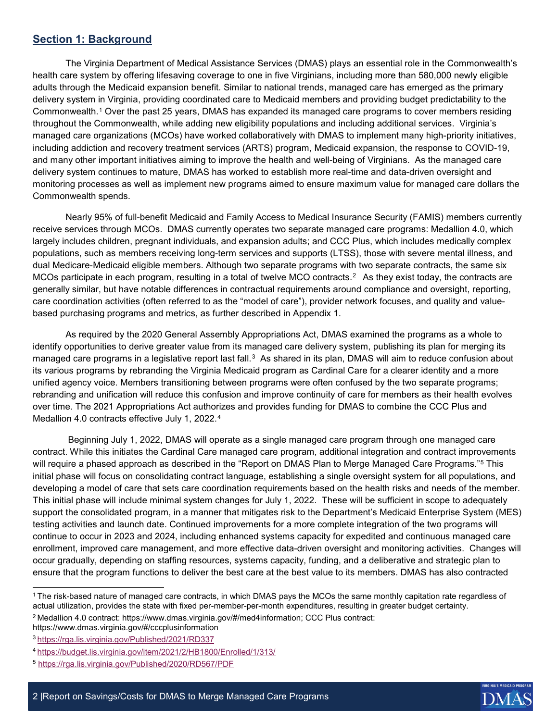## **Section 1: Background**

The Virginia Department of Medical Assistance Services (DMAS) plays an essential role in the Commonwealth's health care system by offering lifesaving coverage to one in five Virginians, including more than 580,000 newly eligible adults through the Medicaid expansion benefit. Similar to national trends, managed care has emerged as the primary delivery system in Virginia, providing coordinated care to Medicaid members and providing budget predictability to the Commonwealth.[1](#page-2-0) Over the past 25 years, DMAS has expanded its managed care programs to cover members residing throughout the Commonwealth, while adding new eligibility populations and including additional services. Virginia's managed care organizations (MCOs) have worked collaboratively with DMAS to implement many high-priority initiatives, including addiction and recovery treatment services (ARTS) program, Medicaid expansion, the response to COVID-19, and many other important initiatives aiming to improve the health and well-being of Virginians. As the managed care delivery system continues to mature, DMAS has worked to establish more real-time and data-driven oversight and monitoring processes as well as implement new programs aimed to ensure maximum value for managed care dollars the Commonwealth spends.

Nearly 95% of full-benefit Medicaid and Family Access to Medical Insurance Security (FAMIS) members currently receive services through MCOs. DMAS currently operates two separate managed care programs: Medallion 4.0, which largely includes children, pregnant individuals, and expansion adults; and CCC Plus, which includes medically complex populations, such as members receiving long-term services and supports (LTSS), those with severe mental illness, and dual Medicare-Medicaid eligible members. Although two separate programs with two separate contracts, the same six MCOs participate in each program, resulting in a total of twelve MCO contracts.[2](#page-2-1) As they exist today, the contracts are generally similar, but have notable differences in contractual requirements around compliance and oversight, reporting, care coordination activities (often referred to as the "model of care"), provider network focuses, and quality and valuebased purchasing programs and metrics, as further described in Appendix 1.

As required by the 2020 General Assembly Appropriations Act, DMAS examined the programs as a whole to identify opportunities to derive greater value from its managed care delivery system, publishing its plan for merging its managed care programs in a legislative report last fall.<sup>[3](#page-2-2)</sup> As shared in its plan, DMAS will aim to reduce confusion about its various programs by rebranding the Virginia Medicaid program as Cardinal Care for a clearer identity and a more unified agency voice. Members transitioning between programs were often confused by the two separate programs; rebranding and unification will reduce this confusion and improve continuity of care for members as their health evolves over time. The 2021 Appropriations Act authorizes and provides funding for DMAS to combine the CCC Plus and Medallion [4](#page-2-3).0 contracts effective July 1, 2022.<sup>4</sup>

Beginning July 1, 2022, DMAS will operate as a single managed care program through one managed care contract. While this initiates the Cardinal Care managed care program, additional integration and contract improvements will require a phased approach as described in the "Report on DMAS Plan to Merge Managed Care Programs."<sup>[5](#page-2-4)</sup> This initial phase will focus on consolidating contract language, establishing a single oversight system for all populations, and developing a model of care that sets care coordination requirements based on the health risks and needs of the member. This initial phase will include minimal system changes for July 1, 2022. These will be sufficient in scope to adequately support the consolidated program, in a manner that mitigates risk to the Department's Medicaid Enterprise System (MES) testing activities and launch date. Continued improvements for a more complete integration of the two programs will continue to occur in 2023 and 2024, including enhanced systems capacity for expedited and continuous managed care enrollment, improved care management, and more effective data-driven oversight and monitoring activities. Changes will occur gradually, depending on staffing resources, systems capacity, funding, and a deliberative and strategic plan to ensure that the program functions to deliver the best care at the best value to its members. DMAS has also contracted



<span id="page-2-0"></span> <sup>1</sup> The risk-based nature of managed care contracts, in which DMAS pays the MCOs the same monthly capitation rate regardless of actual utilization, provides the state with fixed per-member-per-month expenditures, resulting in greater budget certainty.

<span id="page-2-1"></span><sup>2</sup> Medallion 4.0 contract: [https://www.dmas.virginia.gov/#/med4information;](https://www.dmas.virginia.gov/#/med4information) CCC Plus contract:

<https://www.dmas.virginia.gov/#/cccplusinformation>

<span id="page-2-2"></span><sup>3</sup> <https://rga.lis.virginia.gov/Published/2021/RD337>

<span id="page-2-3"></span><sup>4</sup> <https://budget.lis.virginia.gov/item/2021/2/HB1800/Enrolled/1/313/>

<span id="page-2-4"></span><sup>5</sup> <https://rga.lis.virginia.gov/Published/2020/RD567/PDF>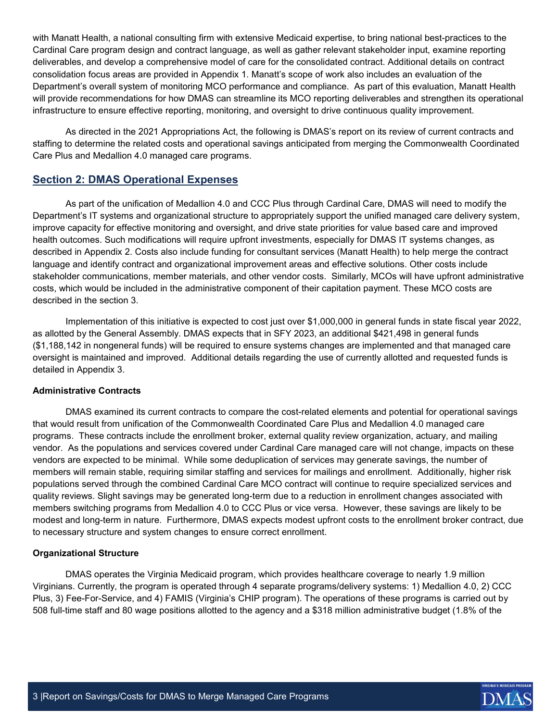with Manatt Health, a national consulting firm with extensive Medicaid expertise, to bring national best-practices to the Cardinal Care program design and contract language, as well as gather relevant stakeholder input, examine reporting deliverables, and develop a comprehensive model of care for the consolidated contract. Additional details on contract consolidation focus areas are provided in Appendix 1. Manatt's scope of work also includes an evaluation of the Department's overall system of monitoring MCO performance and compliance. As part of this evaluation, Manatt Health will provide recommendations for how DMAS can streamline its MCO reporting deliverables and strengthen its operational infrastructure to ensure effective reporting, monitoring, and oversight to drive continuous quality improvement.

As directed in the 2021 Appropriations Act, the following is DMAS's report on its review of current contracts and staffing to determine the related costs and operational savings anticipated from merging the Commonwealth Coordinated Care Plus and Medallion 4.0 managed care programs.

## **Section 2: DMAS Operational Expenses**

As part of the unification of Medallion 4.0 and CCC Plus through Cardinal Care, DMAS will need to modify the Department's IT systems and organizational structure to appropriately support the unified managed care delivery system, improve capacity for effective monitoring and oversight, and drive state priorities for value based care and improved health outcomes. Such modifications will require upfront investments, especially for DMAS IT systems changes, as described in Appendix 2. Costs also include funding for consultant services (Manatt Health) to help merge the contract language and identify contract and organizational improvement areas and effective solutions. Other costs include stakeholder communications, member materials, and other vendor costs. Similarly, MCOs will have upfront administrative costs, which would be included in the administrative component of their capitation payment. These MCO costs are described in the section 3.

Implementation of this initiative is expected to cost just over \$1,000,000 in general funds in state fiscal year 2022, as allotted by the General Assembly. DMAS expects that in SFY 2023, an additional \$421,498 in general funds (\$1,188,142 in nongeneral funds) will be required to ensure systems changes are implemented and that managed care oversight is maintained and improved. Additional details regarding the use of currently allotted and requested funds is detailed in Appendix 3.

#### **Administrative Contracts**

DMAS examined its current contracts to compare the cost-related elements and potential for operational savings that would result from unification of the Commonwealth Coordinated Care Plus and Medallion 4.0 managed care programs. These contracts include the enrollment broker, external quality review organization, actuary, and mailing vendor. As the populations and services covered under Cardinal Care managed care will not change, impacts on these vendors are expected to be minimal. While some deduplication of services may generate savings, the number of members will remain stable, requiring similar staffing and services for mailings and enrollment. Additionally, higher risk populations served through the combined Cardinal Care MCO contract will continue to require specialized services and quality reviews. Slight savings may be generated long-term due to a reduction in enrollment changes associated with members switching programs from Medallion 4.0 to CCC Plus or vice versa. However, these savings are likely to be modest and long-term in nature. Furthermore, DMAS expects modest upfront costs to the enrollment broker contract, due to necessary structure and system changes to ensure correct enrollment.

#### **Organizational Structure**

DMAS operates the Virginia Medicaid program, which provides healthcare coverage to nearly 1.9 million Virginians. Currently, the program is operated through 4 separate programs/delivery systems: 1) Medallion 4.0, 2) CCC Plus, 3) Fee-For-Service, and 4) FAMIS (Virginia's CHIP program). The operations of these programs is carried out by 508 full-time staff and 80 wage positions allotted to the agency and a \$318 million administrative budget (1.8% of the

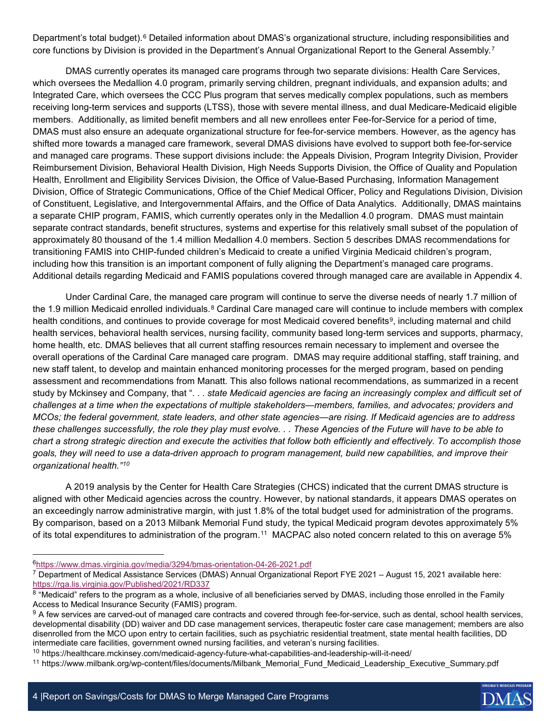Department's total budget).<sup>[6](#page-4-0)</sup> Detailed information about DMAS's organizational structure, including responsibilities and core functions by Division is provided in the Department's Annual Organizational Report to the General Assembly.<sup>[7](#page-4-1)</sup>

DMAS currently operates its managed care programs through two separate divisions: Health Care Services, which oversees the Medallion 4.0 program, primarily serving children, pregnant individuals, and expansion adults; and Integrated Care, which oversees the CCC Plus program that serves medically complex populations, such as members receiving long-term services and supports (LTSS), those with severe mental illness, and dual Medicare-Medicaid eligible members. Additionally, as limited benefit members and all new enrollees enter Fee-for-Service for a period of time, DMAS must also ensure an adequate organizational structure for fee-for-service members. However, as the agency has shifted more towards a managed care framework, several DMAS divisions have evolved to support both fee-for-service and managed care programs. These support divisions include: the Appeals Division, Program Integrity Division, Provider Reimbursement Division, Behavioral Health Division, High Needs Supports Division, the Office of Quality and Population Health, Enrollment and Eligibility Services Division, the Office of Value-Based Purchasing, Information Management Division, Office of Strategic Communications, Office of the Chief Medical Officer, Policy and Regulations Division, Division of Constituent, Legislative, and Intergovernmental Affairs, and the Office of Data Analytics. Additionally, DMAS maintains a separate CHIP program, FAMIS, which currently operates only in the Medallion 4.0 program. DMAS must maintain separate contract standards, benefit structures, systems and expertise for this relatively small subset of the population of approximately 80 thousand of the 1.4 million Medallion 4.0 members. Section 5 describes DMAS recommendations for transitioning FAMIS into CHIP-funded children's Medicaid to create a unified Virginia Medicaid children's program, including how this transition is an important component of fully aligning the Department's managed care programs. Additional details regarding Medicaid and FAMIS populations covered through managed care are available in Appendix 4.

Under Cardinal Care, the managed care program will continue to serve the diverse needs of nearly 1.7 million of the 1.9 million Medicaid enrolled individuals.<sup>[8](#page-4-2)</sup> Cardinal Care managed care will continue to include members with complex health conditions, and continues to provide coverage for most Medicaid covered benefits<sup>[9](#page-4-3)</sup>, including maternal and child health services, behavioral health services, nursing facility, community based long-term services and supports, pharmacy, home health, etc. DMAS believes that all current staffing resources remain necessary to implement and oversee the overall operations of the Cardinal Care managed care program. DMAS may require additional staffing, staff training, and new staff talent, to develop and maintain enhanced monitoring processes for the merged program, based on pending assessment and recommendations from Manatt. This also follows national recommendations, as summarized in a recent study by Mckinsey and Company, that ". . . *state Medicaid agencies are facing an increasingly complex and difficult set of challenges at a time when the expectations of multiple stakeholders—members, families, and advocates; providers and MCOs; the federal government, state leaders, and other state agencies—are rising. If Medicaid agencies are to address these challenges successfully, the role they play must evolve. . . These Agencies of the Future will have to be able to chart a strong strategic direction and execute the activities that follow both efficiently and effectively. To accomplish those goals, they will need to use a data-driven approach to program management, build new capabilities, and improve their organizational health."[10](#page-4-4)*

A 2019 analysis by the Center for Health Care Strategies (CHCS) indicated that the current DMAS structure is aligned with other Medicaid agencies across the country. However, by national standards, it appears DMAS operates on an exceedingly narrow administrative margin, with just 1.8% of the total budget used for administration of the programs. By comparison, based on a 2013 Milbank Memorial Fund study, the typical Medicaid program devotes approximately 5% of its total expenditures to administration of the program.[11](#page-4-5) MACPAC also noted concern related to this on average 5%



<span id="page-4-0"></span>[6https://www.dmas.virginia.gov/media/3294/bmas-orientation-04-26-2021.pdf](https://www.dmas.virginia.gov/media/3294/bmas-orientation-04-26-2021.pdf)

<span id="page-4-1"></span><sup>7</sup> Department of Medical Assistance Services (DMAS) Annual Organizational Report FYE 2021 – August 15, 2021 available here: https://rga.lis.virginia.gov/Published/2021/RD337<br><sup>8</sup> "Medicaid" refers to the program as a whole, inclusive of all beneficiaries served by DMAS, including those enrolled in the Family

<span id="page-4-2"></span>Access to Medical Insurance Security (FAMIS) program.

<span id="page-4-3"></span><sup>&</sup>lt;sup>9</sup> A few services are carved-out of managed care contracts and covered through fee-for-service, such as dental, school health services, developmental disability (DD) waiver and DD case management services, therapeutic foster care case management; members are also disenrolled from the MCO upon entry to certain facilities, such as psychiatric residential treatment, state mental health facilities, DD intermediate care facilities, government owned nursing facilities, and veteran's nursing facilities.

<span id="page-4-4"></span><sup>10</sup> https://healthcare.mckinsey.com/medicaid-agency-future-what-capabilities-and-leadership-will-it-need/

<span id="page-4-5"></span><sup>&</sup>lt;sup>11</sup> https://www.milbank.org/wp-content/files/documents/Milbank\_Memorial\_Fund\_Medicaid\_Leadership\_Executive\_Summary.pdf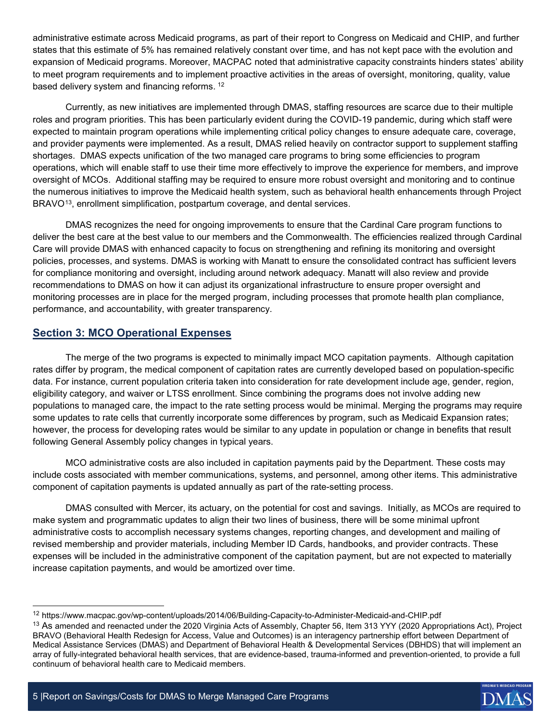administrative estimate across Medicaid programs, as part of their report to Congress on Medicaid and CHIP, and further states that this estimate of 5% has remained relatively constant over time, and has not kept pace with the evolution and expansion of Medicaid programs. Moreover, MACPAC noted that administrative capacity constraints hinders states' ability to meet program requirements and to implement proactive activities in the areas of oversight, monitoring, quality, value based delivery system and financing reforms. [12](#page-5-0)

Currently, as new initiatives are implemented through DMAS, staffing resources are scarce due to their multiple roles and program priorities. This has been particularly evident during the COVID-19 pandemic, during which staff were expected to maintain program operations while implementing critical policy changes to ensure adequate care, coverage, and provider payments were implemented. As a result, DMAS relied heavily on contractor support to supplement staffing shortages. DMAS expects unification of the two managed care programs to bring some efficiencies to program operations, which will enable staff to use their time more effectively to improve the experience for members, and improve oversight of MCOs. Additional staffing may be required to ensure more robust oversight and monitoring and to continue the numerous initiatives to improve the Medicaid health system, such as behavioral health enhancements through Project BRAVO[13,](#page-5-1) enrollment simplification, postpartum coverage, and dental services.

DMAS recognizes the need for ongoing improvements to ensure that the Cardinal Care program functions to deliver the best care at the best value to our members and the Commonwealth. The efficiencies realized through Cardinal Care will provide DMAS with enhanced capacity to focus on strengthening and refining its monitoring and oversight policies, processes, and systems. DMAS is working with Manatt to ensure the consolidated contract has sufficient levers for compliance monitoring and oversight, including around network adequacy. Manatt will also review and provide recommendations to DMAS on how it can adjust its organizational infrastructure to ensure proper oversight and monitoring processes are in place for the merged program, including processes that promote health plan compliance, performance, and accountability, with greater transparency.

#### **Section 3: MCO Operational Expenses**

The merge of the two programs is expected to minimally impact MCO capitation payments. Although capitation rates differ by program, the medical component of capitation rates are currently developed based on population-specific data. For instance, current population criteria taken into consideration for rate development include age, gender, region, eligibility category, and waiver or LTSS enrollment. Since combining the programs does not involve adding new populations to managed care, the impact to the rate setting process would be minimal. Merging the programs may require some updates to rate cells that currently incorporate some differences by program, such as Medicaid Expansion rates; however, the process for developing rates would be similar to any update in population or change in benefits that result following General Assembly policy changes in typical years.

MCO administrative costs are also included in capitation payments paid by the Department. These costs may include costs associated with member communications, systems, and personnel, among other items. This administrative component of capitation payments is updated annually as part of the rate-setting process.

DMAS consulted with Mercer, its actuary, on the potential for cost and savings. Initially, as MCOs are required to make system and programmatic updates to align their two lines of business, there will be some minimal upfront administrative costs to accomplish necessary systems changes, reporting changes, and development and mailing of revised membership and provider materials, including Member ID Cards, handbooks, and provider contracts. These expenses will be included in the administrative component of the capitation payment, but are not expected to materially increase capitation payments, and would be amortized over time.

<span id="page-5-0"></span> <sup>12</sup> https://www.macpac.gov/wp-content/uploads/2014/06/Building-Capacity-to-Administer-Medicaid-and-CHIP.pdf

<span id="page-5-1"></span><sup>&</sup>lt;sup>13</sup> As amended and reenacted under the 2020 Virginia Acts of Assembly, Chapter 56, Item 313 YYY (2020 Appropriations Act), Project BRAVO (Behavioral Health Redesign for Access, Value and Outcomes) is an interagency partnership effort between Department of Medical Assistance Services (DMAS) and Department of Behavioral Health & Developmental Services (DBHDS) that will implement an array of fully-integrated behavioral health services, that are evidence-based, trauma-informed and prevention-oriented, to provide a full continuum of behavioral health care to Medicaid members.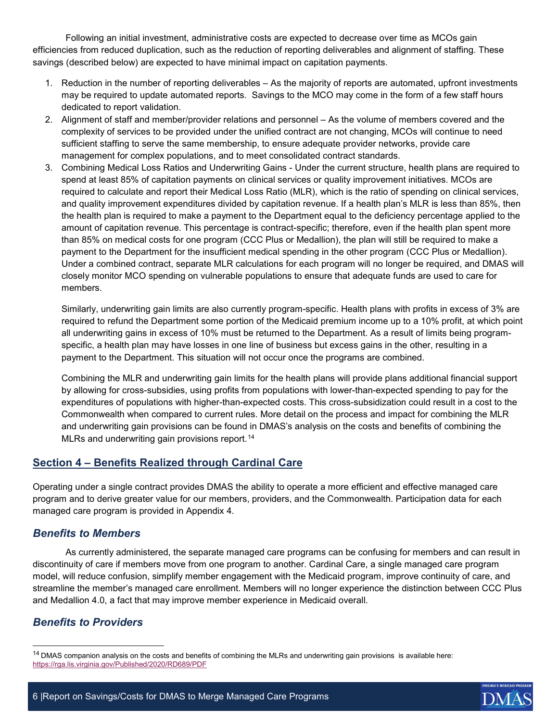Following an initial investment, administrative costs are expected to decrease over time as MCOs gain efficiencies from reduced duplication, such as the reduction of reporting deliverables and alignment of staffing. These savings (described below) are expected to have minimal impact on capitation payments.

- 1. Reduction in the number of reporting deliverables As the majority of reports are automated, upfront investments may be required to update automated reports. Savings to the MCO may come in the form of a few staff hours dedicated to report validation.
- 2. Alignment of staff and member/provider relations and personnel As the volume of members covered and the complexity of services to be provided under the unified contract are not changing, MCOs will continue to need sufficient staffing to serve the same membership, to ensure adequate provider networks, provide care management for complex populations, and to meet consolidated contract standards.
- 3. Combining Medical Loss Ratios and Underwriting Gains Under the current structure, health plans are required to spend at least 85% of capitation payments on clinical services or quality improvement initiatives. MCOs are required to calculate and report their Medical Loss Ratio (MLR), which is the ratio of spending on clinical services, and quality improvement expenditures divided by capitation revenue. If a health plan's MLR is less than 85%, then the health plan is required to make a payment to the Department equal to the deficiency percentage applied to the amount of capitation revenue. This percentage is contract-specific; therefore, even if the health plan spent more than 85% on medical costs for one program (CCC Plus or Medallion), the plan will still be required to make a payment to the Department for the insufficient medical spending in the other program (CCC Plus or Medallion). Under a combined contract, separate MLR calculations for each program will no longer be required, and DMAS will closely monitor MCO spending on vulnerable populations to ensure that adequate funds are used to care for members.

Similarly, underwriting gain limits are also currently program-specific. Health plans with profits in excess of 3% are required to refund the Department some portion of the Medicaid premium income up to a 10% profit, at which point all underwriting gains in excess of 10% must be returned to the Department. As a result of limits being programspecific, a health plan may have losses in one line of business but excess gains in the other, resulting in a payment to the Department. This situation will not occur once the programs are combined.

Combining the MLR and underwriting gain limits for the health plans will provide plans additional financial support by allowing for cross-subsidies, using profits from populations with lower-than-expected spending to pay for the expenditures of populations with higher-than-expected costs. This cross-subsidization could result in a cost to the Commonwealth when compared to current rules. More detail on the process and impact for combining the MLR and underwriting gain provisions can be found in DMAS's analysis on the costs and benefits of combining the MLRs and underwriting gain provisions report.<sup>[14](#page-6-0)</sup>

## **Section 4 – Benefits Realized through Cardinal Care**

Operating under a single contract provides DMAS the ability to operate a more efficient and effective managed care program and to derive greater value for our members, providers, and the Commonwealth. Participation data for each managed care program is provided in Appendix 4.

## *Benefits to Members*

As currently administered, the separate managed care programs can be confusing for members and can result in discontinuity of care if members move from one program to another. Cardinal Care, a single managed care program model, will reduce confusion, simplify member engagement with the Medicaid program, improve continuity of care, and streamline the member's managed care enrollment. Members will no longer experience the distinction between CCC Plus and Medallion 4.0, a fact that may improve member experience in Medicaid overall.

## *Benefits to Providers*

<span id="page-6-0"></span><sup>&</sup>lt;sup>14</sup> DMAS companion analysis on the costs and benefits of combining the MLRs and underwriting gain provisions is available here: <https://rga.lis.virginia.gov/Published/2020/RD689/PDF>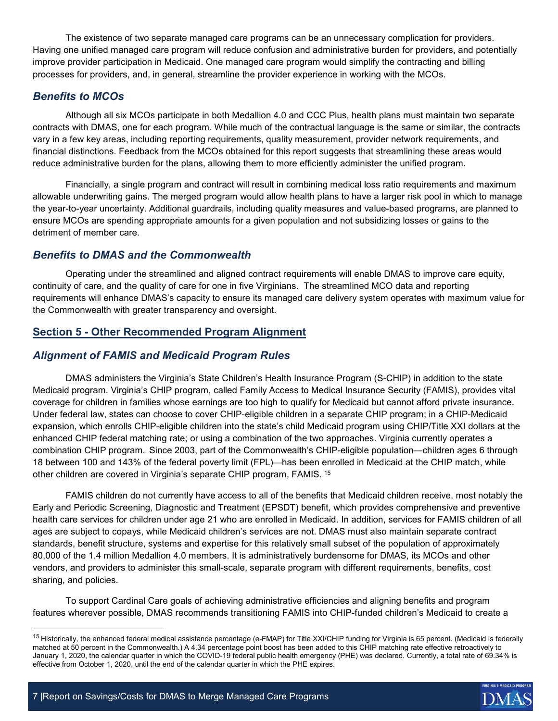The existence of two separate managed care programs can be an unnecessary complication for providers. Having one unified managed care program will reduce confusion and administrative burden for providers, and potentially improve provider participation in Medicaid. One managed care program would simplify the contracting and billing processes for providers, and, in general, streamline the provider experience in working with the MCOs.

## *Benefits to MCOs*

Although all six MCOs participate in both Medallion 4.0 and CCC Plus, health plans must maintain two separate contracts with DMAS, one for each program. While much of the contractual language is the same or similar, the contracts vary in a few key areas, including reporting requirements, quality measurement, provider network requirements, and financial distinctions. Feedback from the MCOs obtained for this report suggests that streamlining these areas would reduce administrative burden for the plans, allowing them to more efficiently administer the unified program.

Financially, a single program and contract will result in combining medical loss ratio requirements and maximum allowable underwriting gains. The merged program would allow health plans to have a larger risk pool in which to manage the year-to-year uncertainty. Additional guardrails, including quality measures and value-based programs, are planned to ensure MCOs are spending appropriate amounts for a given population and not subsidizing losses or gains to the detriment of member care.

## *Benefits to DMAS and the Commonwealth*

Operating under the streamlined and aligned contract requirements will enable DMAS to improve care equity, continuity of care, and the quality of care for one in five Virginians. The streamlined MCO data and reporting requirements will enhance DMAS's capacity to ensure its managed care delivery system operates with maximum value for the Commonwealth with greater transparency and oversight.

## **Section 5 - Other Recommended Program Alignment**

## *Alignment of FAMIS and Medicaid Program Rules*

DMAS administers the Virginia's State Children's Health Insurance Program (S-CHIP) in addition to the state Medicaid program. Virginia's CHIP program, called Family Access to Medical Insurance Security (FAMIS), provides vital coverage for children in families whose earnings are too high to qualify for Medicaid but cannot afford private insurance. Under federal law, states can choose to cover CHIP-eligible children in a separate CHIP program; in a CHIP-Medicaid expansion, which enrolls CHIP-eligible children into the state's child Medicaid program using CHIP/Title XXI dollars at the enhanced CHIP federal matching rate; or using a combination of the two approaches. Virginia currently operates a combination CHIP program. Since 2003, part of the Commonwealth's CHIP-eligible population—children ages 6 through 18 between 100 and 143% of the federal poverty limit (FPL)—has been enrolled in Medicaid at the CHIP match, while other children are covered in Virginia's separate CHIP program, FAMIS. [15](#page-7-0)

FAMIS children do not currently have access to all of the benefits that Medicaid children receive, most notably the Early and Periodic Screening, Diagnostic and Treatment (EPSDT) benefit, which provides comprehensive and preventive health care services for children under age 21 who are enrolled in Medicaid. In addition, services for FAMIS children of all ages are subject to copays, while Medicaid children's services are not. DMAS must also maintain separate contract standards, benefit structure, systems and expertise for this relatively small subset of the population of approximately 80,000 of the 1.4 million Medallion 4.0 members. It is administratively burdensome for DMAS, its MCOs and other vendors, and providers to administer this small-scale, separate program with different requirements, benefits, cost sharing, and policies.

To support Cardinal Care goals of achieving administrative efficiencies and aligning benefits and program features wherever possible, DMAS recommends transitioning FAMIS into CHIP-funded children's Medicaid to create a

<span id="page-7-0"></span><sup>&</sup>lt;sup>15</sup> Historically, the enhanced federal medical assistance percentage (e-FMAP) for Title XXI/CHIP funding for Virginia is 65 percent. (Medicaid is federally matched at 50 percent in the Commonwealth.) A 4.34 percentage point boost has been added to this CHIP matching rate effective retroactively to January 1, 2020, the calendar quarter in which the COVID-19 federal public health emergency (PHE) was declared. Currently, a total rate of 69.34% is effective from October 1, 2020, until the end of the calendar quarter in which the PHE expires.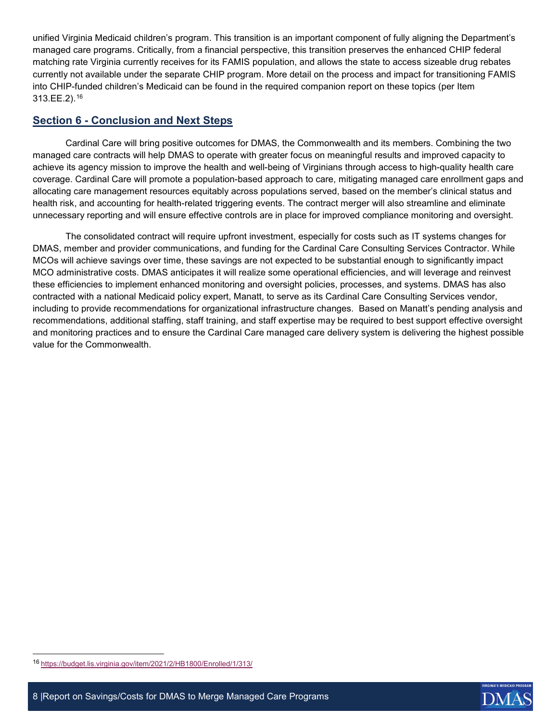unified Virginia Medicaid children's program. This transition is an important component of fully aligning the Department's managed care programs. Critically, from a financial perspective, this transition preserves the enhanced CHIP federal matching rate Virginia currently receives for its FAMIS population, and allows the state to access sizeable drug rebates currently not available under the separate CHIP program. More detail on the process and impact for transitioning FAMIS into CHIP-funded children's Medicaid can be found in the required companion report on these topics (per Item 313.EE.2).[16](#page-8-0)

#### **Section 6 - Conclusion and Next Steps**

Cardinal Care will bring positive outcomes for DMAS, the Commonwealth and its members. Combining the two managed care contracts will help DMAS to operate with greater focus on meaningful results and improved capacity to achieve its agency mission to improve the health and well-being of Virginians through access to high-quality health care coverage. Cardinal Care will promote a population-based approach to care, mitigating managed care enrollment gaps and allocating care management resources equitably across populations served, based on the member's clinical status and health risk, and accounting for health-related triggering events. The contract merger will also streamline and eliminate unnecessary reporting and will ensure effective controls are in place for improved compliance monitoring and oversight.

The consolidated contract will require upfront investment, especially for costs such as IT systems changes for DMAS, member and provider communications, and funding for the Cardinal Care Consulting Services Contractor. While MCOs will achieve savings over time, these savings are not expected to be substantial enough to significantly impact MCO administrative costs. DMAS anticipates it will realize some operational efficiencies, and will leverage and reinvest these efficiencies to implement enhanced monitoring and oversight policies, processes, and systems. DMAS has also contracted with a national Medicaid policy expert, Manatt, to serve as its Cardinal Care Consulting Services vendor, including to provide recommendations for organizational infrastructure changes. Based on Manatt's pending analysis and recommendations, additional staffing, staff training, and staff expertise may be required to best support effective oversight and monitoring practices and to ensure the Cardinal Care managed care delivery system is delivering the highest possible value for the Commonwealth.



<span id="page-8-0"></span> <sup>16</sup> <https://budget.lis.virginia.gov/item/2021/2/HB1800/Enrolled/1/313/>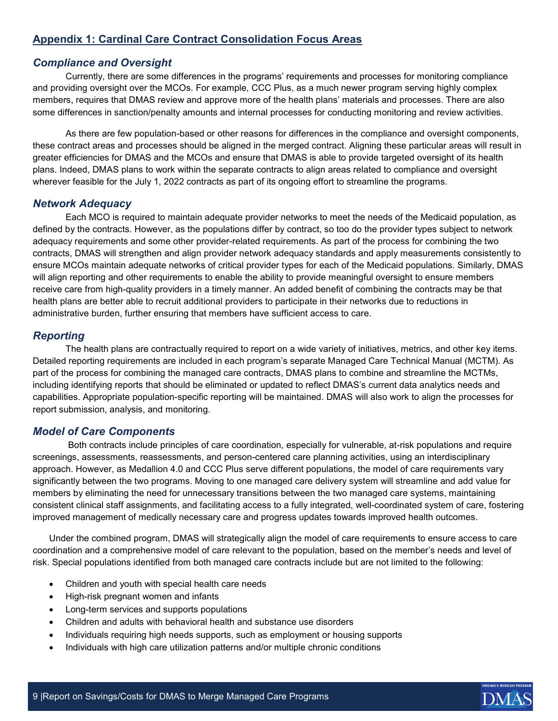## **Appendix 1: Cardinal Care Contract Consolidation Focus Areas**

#### *Compliance and Oversight*

Currently, there are some differences in the programs' requirements and processes for monitoring compliance and providing oversight over the MCOs. For example, CCC Plus, as a much newer program serving highly complex members, requires that DMAS review and approve more of the health plans' materials and processes. There are also some differences in sanction/penalty amounts and internal processes for conducting monitoring and review activities.

As there are few population-based or other reasons for differences in the compliance and oversight components, these contract areas and processes should be aligned in the merged contract. Aligning these particular areas will result in greater efficiencies for DMAS and the MCOs and ensure that DMAS is able to provide targeted oversight of its health plans. Indeed, DMAS plans to work within the separate contracts to align areas related to compliance and oversight wherever feasible for the July 1, 2022 contracts as part of its ongoing effort to streamline the programs.

#### *Network Adequacy*

Each MCO is required to maintain adequate provider networks to meet the needs of the Medicaid population, as defined by the contracts. However, as the populations differ by contract, so too do the provider types subject to network adequacy requirements and some other provider-related requirements. As part of the process for combining the two contracts, DMAS will strengthen and align provider network adequacy standards and apply measurements consistently to ensure MCOs maintain adequate networks of critical provider types for each of the Medicaid populations. Similarly, DMAS will align reporting and other requirements to enable the ability to provide meaningful oversight to ensure members receive care from high-quality providers in a timely manner. An added benefit of combining the contracts may be that health plans are better able to recruit additional providers to participate in their networks due to reductions in administrative burden, further ensuring that members have sufficient access to care.

#### *Reporting*

The health plans are contractually required to report on a wide variety of initiatives, metrics, and other key items. Detailed reporting requirements are included in each program's separate Managed Care Technical Manual (MCTM). As part of the process for combining the managed care contracts, DMAS plans to combine and streamline the MCTMs, including identifying reports that should be eliminated or updated to reflect DMAS's current data analytics needs and capabilities. Appropriate population-specific reporting will be maintained. DMAS will also work to align the processes for report submission, analysis, and monitoring.

#### *Model of Care Components*

Both contracts include principles of care coordination, especially for vulnerable, at-risk populations and require screenings, assessments, reassessments, and person-centered care planning activities, using an interdisciplinary approach. However, as Medallion 4.0 and CCC Plus serve different populations, the model of care requirements vary significantly between the two programs. Moving to one managed care delivery system will streamline and add value for members by eliminating the need for unnecessary transitions between the two managed care systems, maintaining consistent clinical staff assignments, and facilitating access to a fully integrated, well-coordinated system of care, fostering improved management of medically necessary care and progress updates towards improved health outcomes.

Under the combined program, DMAS will strategically align the model of care requirements to ensure access to care coordination and a comprehensive model of care relevant to the population, based on the member's needs and level of risk. Special populations identified from both managed care contracts include but are not limited to the following:

- Children and youth with special health care needs
- High-risk pregnant women and infants
- Long-term services and supports populations
- Children and adults with behavioral health and substance use disorders
- Individuals requiring high needs supports, such as employment or housing supports
- Individuals with high care utilization patterns and/or multiple chronic conditions

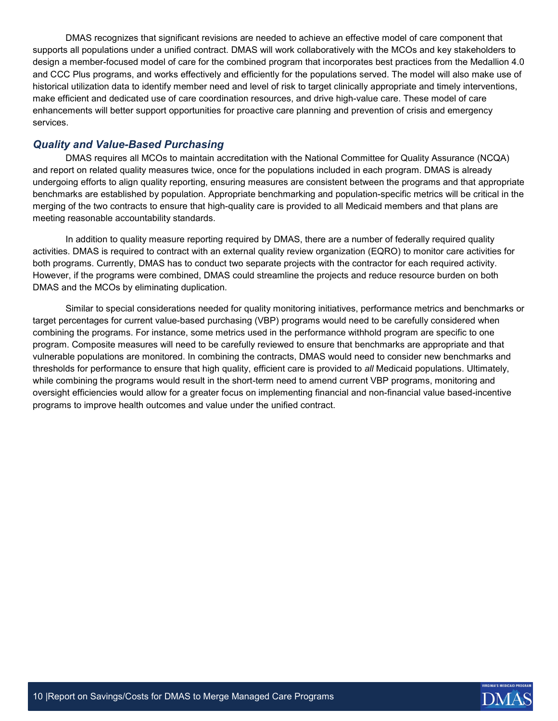DMAS recognizes that significant revisions are needed to achieve an effective model of care component that supports all populations under a unified contract. DMAS will work collaboratively with the MCOs and key stakeholders to design a member-focused model of care for the combined program that incorporates best practices from the Medallion 4.0 and CCC Plus programs, and works effectively and efficiently for the populations served. The model will also make use of historical utilization data to identify member need and level of risk to target clinically appropriate and timely interventions, make efficient and dedicated use of care coordination resources, and drive high-value care. These model of care enhancements will better support opportunities for proactive care planning and prevention of crisis and emergency services.

#### *Quality and Value-Based Purchasing*

DMAS requires all MCOs to maintain accreditation with the National Committee for Quality Assurance (NCQA) and report on related quality measures twice, once for the populations included in each program. DMAS is already undergoing efforts to align quality reporting, ensuring measures are consistent between the programs and that appropriate benchmarks are established by population. Appropriate benchmarking and population-specific metrics will be critical in the merging of the two contracts to ensure that high-quality care is provided to all Medicaid members and that plans are meeting reasonable accountability standards.

In addition to quality measure reporting required by DMAS, there are a number of federally required quality activities. DMAS is required to contract with an external quality review organization (EQRO) to monitor care activities for both programs. Currently, DMAS has to conduct two separate projects with the contractor for each required activity. However, if the programs were combined, DMAS could streamline the projects and reduce resource burden on both DMAS and the MCOs by eliminating duplication.

Similar to special considerations needed for quality monitoring initiatives, performance metrics and benchmarks or target percentages for current value-based purchasing (VBP) programs would need to be carefully considered when combining the programs. For instance, some metrics used in the performance withhold program are specific to one program. Composite measures will need to be carefully reviewed to ensure that benchmarks are appropriate and that vulnerable populations are monitored. In combining the contracts, DMAS would need to consider new benchmarks and thresholds for performance to ensure that high quality, efficient care is provided to *all* Medicaid populations. Ultimately, while combining the programs would result in the short-term need to amend current VBP programs, monitoring and oversight efficiencies would allow for a greater focus on implementing financial and non-financial value based-incentive programs to improve health outcomes and value under the unified contract.

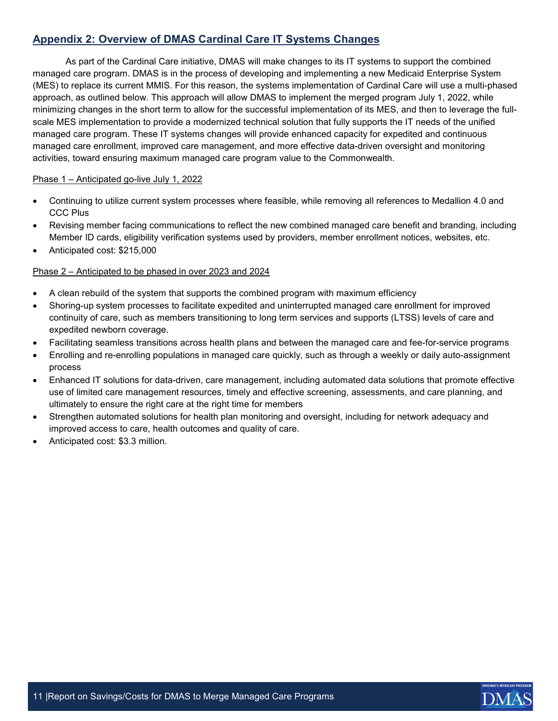## **Appendix 2: Overview of DMAS Cardinal Care IT Systems Changes**

As part of the Cardinal Care initiative, DMAS will make changes to its IT systems to support the combined managed care program. DMAS is in the process of developing and implementing a new Medicaid Enterprise System (MES) to replace its current MMIS. For this reason, the systems implementation of Cardinal Care will use a multi-phased approach, as outlined below. This approach will allow DMAS to implement the merged program July 1, 2022, while minimizing changes in the short term to allow for the successful implementation of its MES, and then to leverage the fullscale MES implementation to provide a modernized technical solution that fully supports the IT needs of the unified managed care program. These IT systems changes will provide enhanced capacity for expedited and continuous managed care enrollment, improved care management, and more effective data-driven oversight and monitoring activities, toward ensuring maximum managed care program value to the Commonwealth.

#### Phase 1 – Anticipated go-live July 1, 2022

- Continuing to utilize current system processes where feasible, while removing all references to Medallion 4.0 and CCC Plus
- Revising member facing communications to reflect the new combined managed care benefit and branding, including Member ID cards, eligibility verification systems used by providers, member enrollment notices, websites, etc.
- Anticipated cost: \$215,000

#### Phase 2 – Anticipated to be phased in over 2023 and 2024

- A clean rebuild of the system that supports the combined program with maximum efficiency
- Shoring-up system processes to facilitate expedited and uninterrupted managed care enrollment for improved continuity of care, such as members transitioning to long term services and supports (LTSS) levels of care and expedited newborn coverage.
- Facilitating seamless transitions across health plans and between the managed care and fee-for-service programs
- Enrolling and re-enrolling populations in managed care quickly, such as through a weekly or daily auto-assignment process
- Enhanced IT solutions for data-driven, care management, including automated data solutions that promote effective use of limited care management resources, timely and effective screening, assessments, and care planning, and ultimately to ensure the right care at the right time for members
- Strengthen automated solutions for health plan monitoring and oversight, including for network adequacy and improved access to care, health outcomes and quality of care.
- Anticipated cost: \$3.3 million.



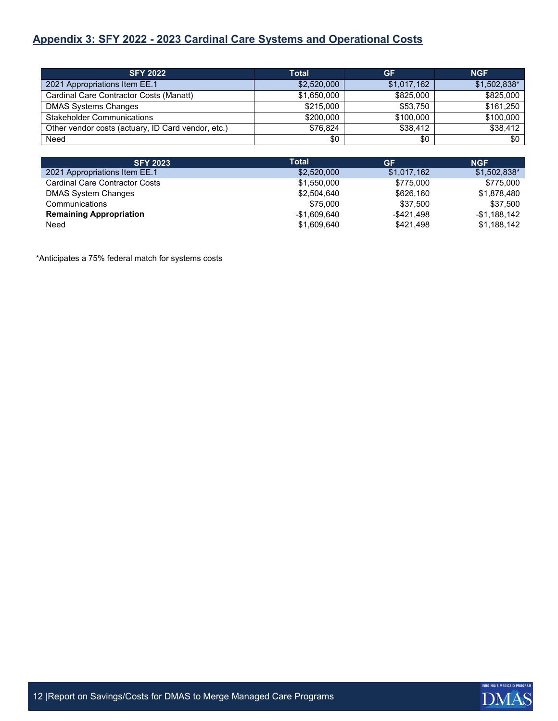## **Appendix 3: SFY 2022 - 2023 Cardinal Care Systems and Operational Costs**

| <b>SFY 2022</b>                                    | Total       | <b>GF</b>   | <b>NGF</b>   |  |
|----------------------------------------------------|-------------|-------------|--------------|--|
| 2021 Appropriations Item EE.1                      | \$2,520,000 | \$1,017,162 | \$1,502,838* |  |
| Cardinal Care Contractor Costs (Manatt)            | \$1,650,000 | \$825,000   | \$825,000    |  |
| <b>DMAS Systems Changes</b>                        | \$215,000   | \$53,750    | \$161,250    |  |
| <b>Stakeholder Communications</b>                  | \$200,000   | \$100,000   | \$100,000    |  |
| Other vendor costs (actuary, ID Card vendor, etc.) | \$76.824    | \$38,412    | \$38,412     |  |
| Need                                               | \$0         | \$0         | \$0          |  |

| <b>SFY 2023</b>                | Total        | GF          | <b>NGF</b>    |  |
|--------------------------------|--------------|-------------|---------------|--|
| 2021 Appropriations Item EE.1  | \$2,520,000  | \$1,017,162 | $$1,502,838*$ |  |
| Cardinal Care Contractor Costs | \$1.550.000  | \$775,000   | \$775,000     |  |
| <b>DMAS System Changes</b>     | \$2,504,640  | \$626.160   | \$1,878,480   |  |
| Communications                 | \$75,000     | \$37.500    | \$37.500      |  |
| <b>Remaining Appropriation</b> | -\$1,609,640 | -\$421.498  | $-$1,188,142$ |  |
| Need                           | \$1,609,640  | \$421,498   | \$1,188,142   |  |

\*Anticipates a 75% federal match for systems costs